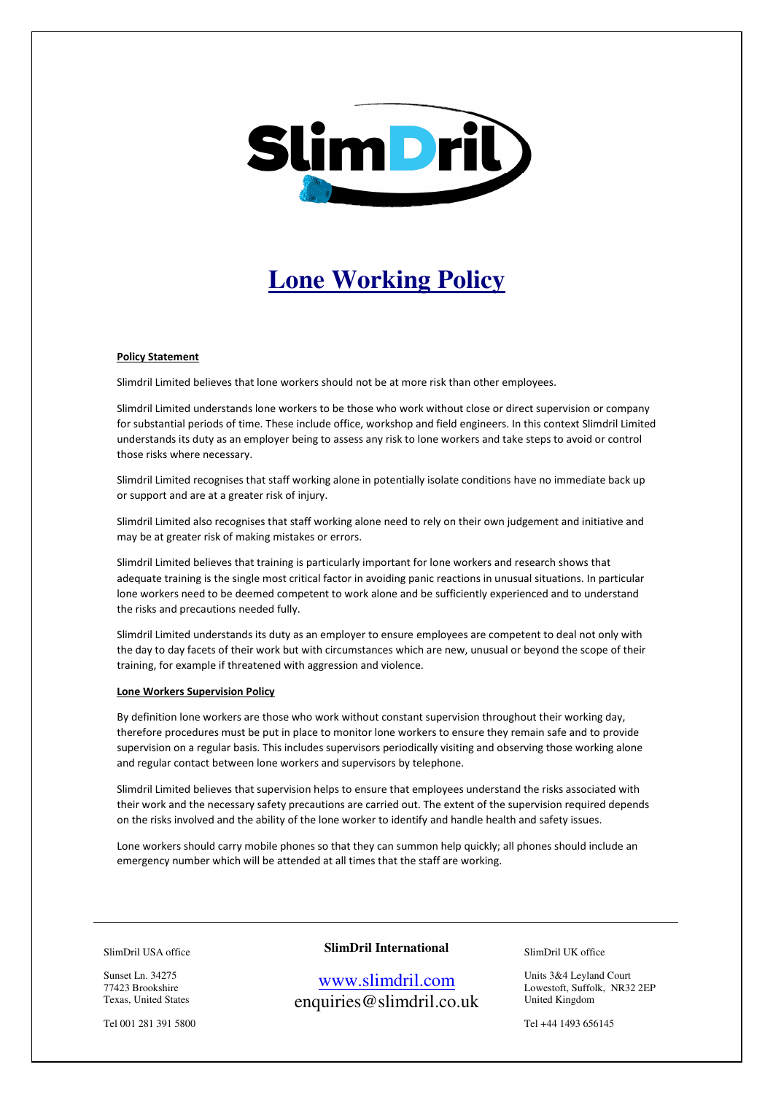

# **Lone Working Policy**

#### Policy Statement

Slimdril Limited believes that lone workers should not be at more risk than other employees.

Slimdril Limited understands lone workers to be those who work without close or direct supervision or company for substantial periods of time. These include office, workshop and field engineers. In this context Slimdril Limited understands its duty as an employer being to assess any risk to lone workers and take steps to avoid or control those risks where necessary.

Slimdril Limited recognises that staff working alone in potentially isolate conditions have no immediate back up or support and are at a greater risk of injury.

Slimdril Limited also recognises that staff working alone need to rely on their own judgement and initiative and may be at greater risk of making mistakes or errors.

Slimdril Limited believes that training is particularly important for lone workers and research shows that adequate training is the single most critical factor in avoiding panic reactions in unusual situations. In particular lone workers need to be deemed competent to work alone and be sufficiently experienced and to understand the risks and precautions needed fully.

Slimdril Limited understands its duty as an employer to ensure employees are competent to deal not only with the day to day facets of their work but with circumstances which are new, unusual or beyond the scope of their training, for example if threatened with aggression and violence.

#### Lone Workers Supervision Policy

By definition lone workers are those who work without constant supervision throughout their working day, therefore procedures must be put in place to monitor lone workers to ensure they remain safe and to provide supervision on a regular basis. This includes supervisors periodically visiting and observing those working alone and regular contact between lone workers and supervisors by telephone.

Slimdril Limited believes that supervision helps to ensure that employees understand the risks associated with their work and the necessary safety precautions are carried out. The extent of the supervision required depends on the risks involved and the ability of the lone worker to identify and handle health and safety issues.

Lone workers should carry mobile phones so that they can summon help quickly; all phones should include an emergency number which will be attended at all times that the staff are working.

SlimDril USA office

Sunset Ln. 34275 77423 Brookshire Texas, United States

Tel 001 281 391 5800

## **SlimDril International**

www.slimdril.com enquiries@slimdril.co.uk SlimDril UK office

Units 3&4 Leyland Court Lowestoft, Suffolk, NR32 2EP United Kingdom

Tel +44 1493 656145